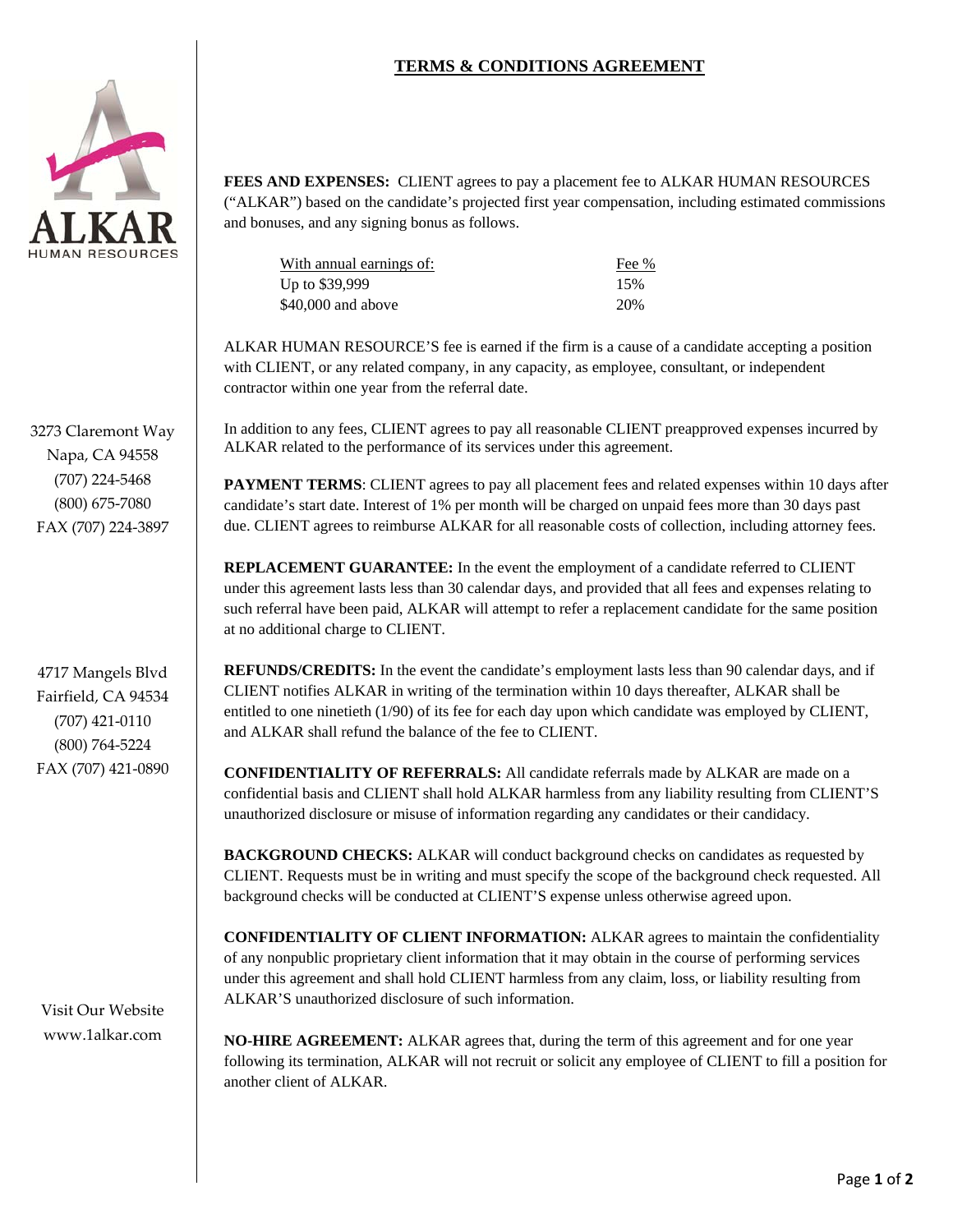## **TERMS & CONDITIONS AGREEMENT**



3273 Claremont Way Napa, CA 94558 (707) 224‐5468 (800) 675‐7080 FAX (707) 224‐3897

4717 Mangels Blvd Fairfield, CA 94534 (707) 421‐0110 (800) 764‐5224 FAX (707) 421‐0890

Visit Our Website www.1alkar.com

**FEES AND EXPENSES:** CLIENT agrees to pay a placement fee to ALKAR HUMAN RESOURCES ("ALKAR") based on the candidate's projected first year compensation, including estimated commissions and bonuses, and any signing bonus as follows.

| With annual earnings of: | Fee % |
|--------------------------|-------|
| Up to \$39,999           | 15%   |
| \$40,000 and above       | 20%   |

ALKAR HUMAN RESOURCE'S fee is earned if the firm is a cause of a candidate accepting a position with CLIENT, or any related company, in any capacity, as employee, consultant, or independent contractor within one year from the referral date.

In addition to any fees, CLIENT agrees to pay all reasonable CLIENT preapproved expenses incurred by ALKAR related to the performance of its services under this agreement.

**PAYMENT TERMS:** CLIENT agrees to pay all placement fees and related expenses within 10 days after candidate's start date. Interest of 1% per month will be charged on unpaid fees more than 30 days past due. CLIENT agrees to reimburse ALKAR for all reasonable costs of collection, including attorney fees.

**REPLACEMENT GUARANTEE:** In the event the employment of a candidate referred to CLIENT under this agreement lasts less than 30 calendar days, and provided that all fees and expenses relating to such referral have been paid, ALKAR will attempt to refer a replacement candidate for the same position at no additional charge to CLIENT.

**REFUNDS/CREDITS:** In the event the candidate's employment lasts less than 90 calendar days, and if CLIENT notifies ALKAR in writing of the termination within 10 days thereafter, ALKAR shall be entitled to one ninetieth (1/90) of its fee for each day upon which candidate was employed by CLIENT, and ALKAR shall refund the balance of the fee to CLIENT.

**CONFIDENTIALITY OF REFERRALS:** All candidate referrals made by ALKAR are made on a confidential basis and CLIENT shall hold ALKAR harmless from any liability resulting from CLIENT'S unauthorized disclosure or misuse of information regarding any candidates or their candidacy.

**BACKGROUND CHECKS:** ALKAR will conduct background checks on candidates as requested by CLIENT. Requests must be in writing and must specify the scope of the background check requested. All background checks will be conducted at CLIENT'S expense unless otherwise agreed upon.

**CONFIDENTIALITY OF CLIENT INFORMATION:** ALKAR agrees to maintain the confidentiality of any nonpublic proprietary client information that it may obtain in the course of performing services under this agreement and shall hold CLIENT harmless from any claim, loss, or liability resulting from ALKAR'S unauthorized disclosure of such information.

**NO-HIRE AGREEMENT:** ALKAR agrees that, during the term of this agreement and for one year following its termination, ALKAR will not recruit or solicit any employee of CLIENT to fill a position for another client of ALKAR.